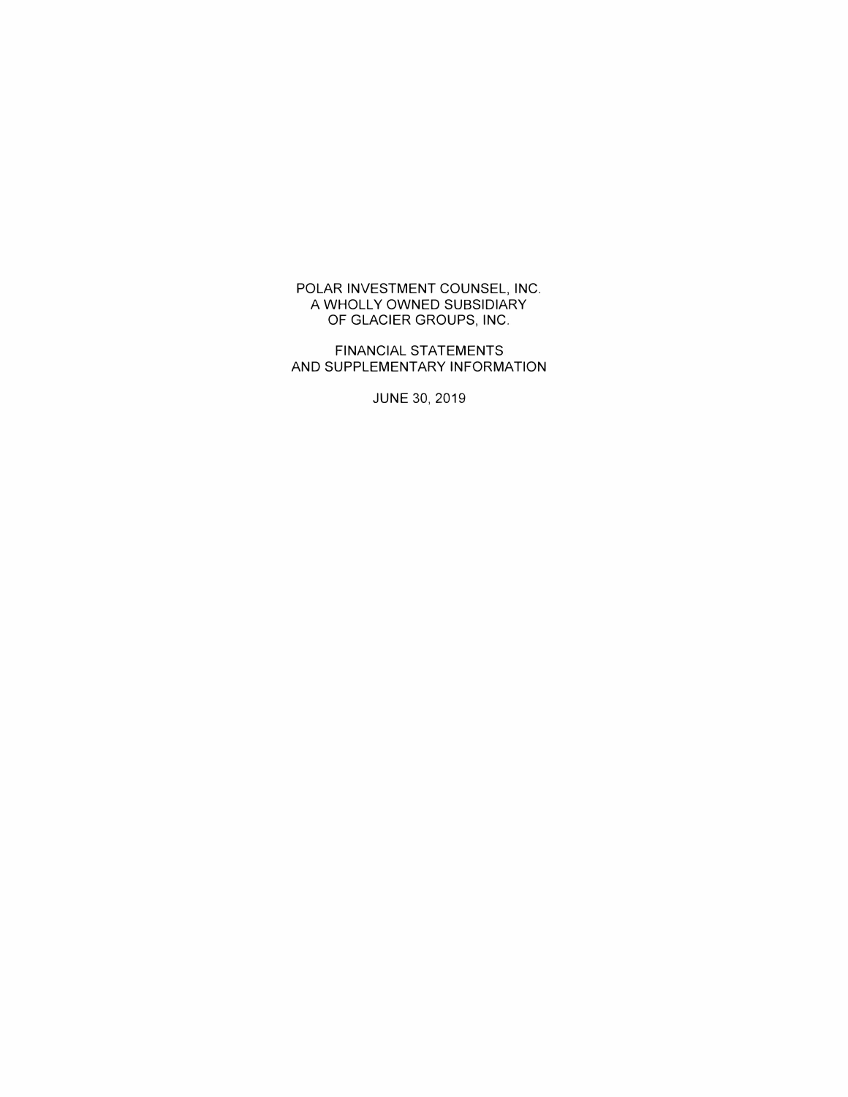POLAR INVESTMENT COUNSEL, INC. A WHOLLY OWNED SUBSIDIARY OF GLACIER GROUPS, INC.

FINANCIAL STATEMENTS AND SUPPLEMENTARY INFORMATION

JUNE 30, 2019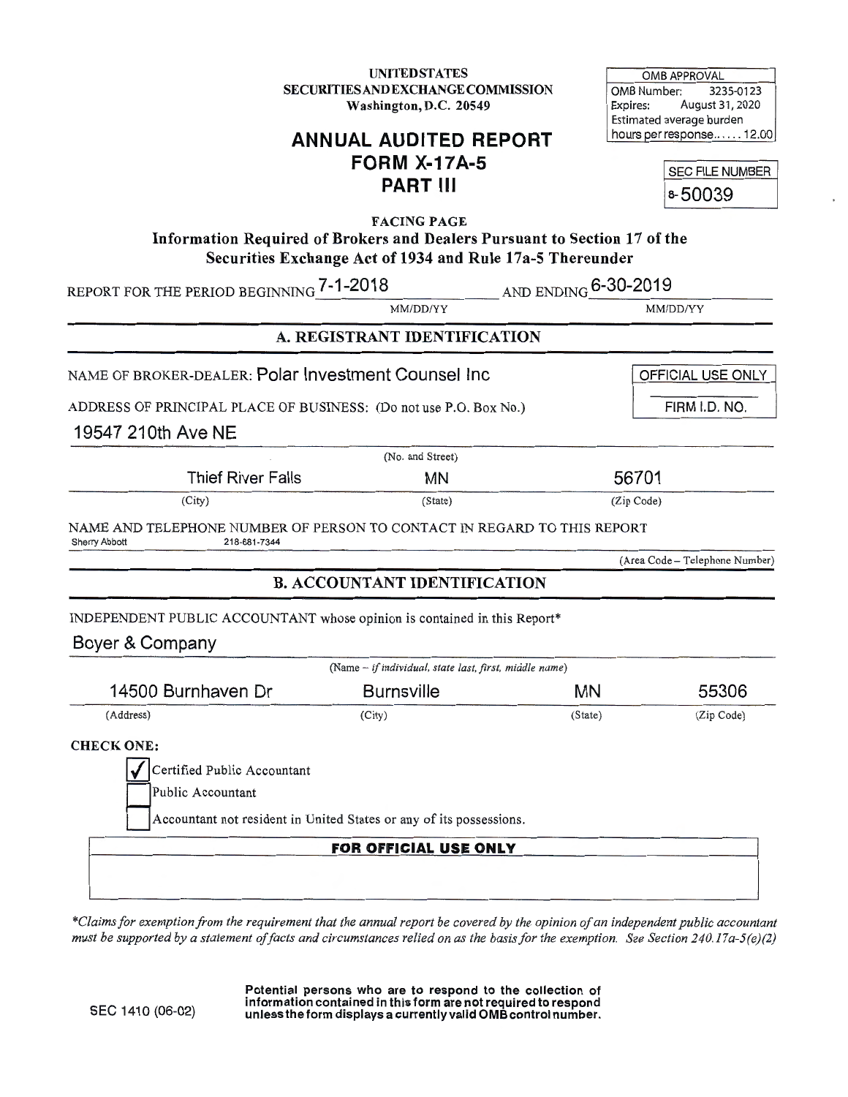**UNITED STATES** SECURITIES AND EXCHANGE COMMISSION Washington, D.C. 20549

OMB APPROVAL OMB Number: 3235-0123 Expires: August 31,2020 Estimated average burden hours per response...... 12.00

# **ANNUAL AUDITED REPORT FORM X-17A-5 PART Ill**

SEC FILE NUMBER 8-50039

FACING PAGE Information Required of Brokers and Dealers Pursuant to Section 17 of the Securities Exchange Act of 1934 and Rule 17a-5 Thereunder

|                                                                                                                 | $\beta$ ceurius Exchange Act of 1794 and Kuie 17a-9 Thereunder |         |                                |
|-----------------------------------------------------------------------------------------------------------------|----------------------------------------------------------------|---------|--------------------------------|
| REPORT FOR THE PERIOD BEGINNING 7-1-2018                                                                        | AND ENDING 6-30-2019                                           |         |                                |
|                                                                                                                 | MM/DD/YY                                                       |         | MM/DD/YY                       |
|                                                                                                                 | A. REGISTRANT IDENTIFICATION                                   |         |                                |
| NAME OF BROKER-DEALER: Polar Investment Counsel Inc                                                             |                                                                |         | OFFICIAL USE ONLY              |
| ADDRESS OF PRINCIPAL PLACE OF BUSINESS: (Do not use P.O. Box No.)                                               |                                                                |         | FIRM I.D. NO.                  |
| 19547 210th Ave NE                                                                                              |                                                                |         |                                |
|                                                                                                                 | (No. and Street)                                               |         |                                |
| <b>Thief River Falls</b>                                                                                        | <b>MN</b>                                                      |         | 56701                          |
| (City)                                                                                                          | (State)                                                        |         | (Zip Code)                     |
| NAME AND TELEPHONE NUMBER OF PERSON TO CONTACT IN REGARD TO THIS REPORT<br>218-681-7344<br><b>Sherry Abbott</b> |                                                                |         |                                |
|                                                                                                                 |                                                                |         | (Area Code - Telephone Number) |
|                                                                                                                 | <b>B. ACCOUNTANT IDENTIFICATION</b>                            |         |                                |
| INDEPENDENT PUBLIC ACCOUNTANT whose opinion is contained in this Report*                                        |                                                                |         |                                |
| Boyer & Company                                                                                                 |                                                                |         |                                |
|                                                                                                                 | (Name - if individual, state last, first, middle name)         |         |                                |
| 14500 Burnhaven Dr                                                                                              | <b>Burnsville</b>                                              | MN      | 55306                          |
| (Address)                                                                                                       | (City)                                                         | (State) | (Zip Code)                     |
| <b>CHECK ONE:</b>                                                                                               |                                                                |         |                                |
| Certified Public Accountant                                                                                     |                                                                |         |                                |
| Public Accountant                                                                                               |                                                                |         |                                |
| Accountant not resident in United States or any of its possessions.                                             |                                                                |         |                                |
|                                                                                                                 | FOR OFFICIAL USE ONLY                                          |         |                                |
|                                                                                                                 |                                                                |         |                                |
|                                                                                                                 |                                                                |         |                                |
|                                                                                                                 |                                                                |         |                                |

*\*Claims for exemption from the requirement that the annual report be covered by the opinion of an independent public accountant must be supported by a statement of facts and circumstances relied on as the basis for the exemption. See Section 240.17 a-5(e)(2)* 

> Potential persons who are to respond to the collection of information contained in this form are not required to respond unless the form displays a currently valid OMB control number.

SEC 1410 (06-02)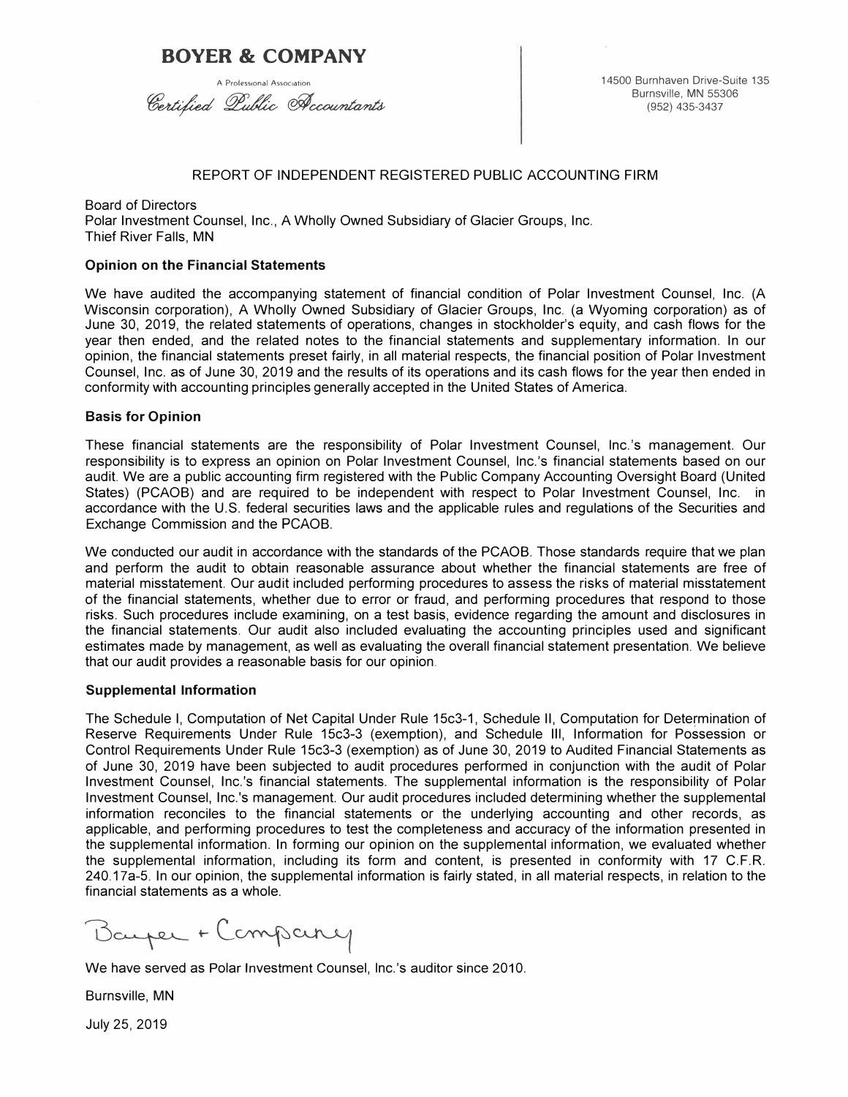# **BOYER & COMPANY**

Certified Lublic Accountants

A Professional Association **14500 Burnhaven Drive-Suite 135** Burnsville, MN 55306 (952) 435-3437

#### REPORT OF INDEPENDENT REGISTERED PUBLIC ACCOUNTING FIRM

Board of Directors Polar Investment Counsel, Inc., A Wholly Owned Subsidiary of Glacier Groups, Inc. Thief River Falls, MN

#### **Opinion on the Financial Statements**

We have audited the accompanying statement of financial condition of Polar Investment Counsel, Inc. (A Wisconsin corporation), A Wholly Owned Subsidiary of Glacier Groups, Inc. (a Wyoming corporation) as of June 30, 2019, the related statements of operations, changes in stockholder's equity, and cash flows for the year then ended, and the related notes to the financial statements and supplementary information. In our opinion, the financial statements preset fairly, in all material respects, the financial position of Polar Investment Counsel, Inc. as of June 30, 2019 and the results of its operations and its cash flows for the year then ended in conformity with accounting principles generally accepted in the United States of America.

#### **Basis for Opinion**

These financial statements are the responsibility of Polar Investment Counsel, lnc.'s management. Our responsibility is to express an opinion on Polar Investment Counsel, lnc.'s financial statements based on our audit. We are a public accounting firm registered with the Public Company Accounting Oversight Board (United States) (PCAOB) and are required to be independent with respect to Polar Investment Counsel, Inc. in accordance with the U.S. federal securities laws and the applicable rules and regulations of the Securities and Exchange Commission and the PCAOB.

We conducted our audit in accordance with the standards of the PCAOB. Those standards require that we plan and perform the audit to obtain reasonable assurance about whether the financial statements are free of material misstatement. Our audit included performing procedures to assess the risks of material misstatement of the financial statements, whether due to error or fraud, and performing procedures that respond to those risks. Such procedures include examining, on a test basis, evidence regarding the amount and disclosures in the financial statements. Our audit also included evaluating the accounting principles used and significant estimates made by management, as well as evaluating the overall financial statement presentation. We believe that our audit provides a reasonable basis for our opinion.

#### **Supplemental Information**

The Schedule I, Computation of Net Capital Under Rule 15c3-1, Schedule II, Computation for Determination of Reserve Requirements Under Rule 15c3-3 (exemption), and Schedule Ill, Information for Possession or Control Requirements Under Rule 15c3-3 (exemption) as of June 30, 2019 to Audited Financial Statements as of June 30, 2019 have been subjected to audit procedures performed in conjunction with the audit of Polar Investment Counsel, lnc.'s financial statements. The supplemental information is the responsibility of Polar Investment Counsel, lnc.'s management. Our audit procedures included determining whether the supplemental information reconciles to the financial statements or the underlying accounting and other records, as applicable, and performing procedures to test the completeness and accuracy of the information presented in the supplemental information. In forming our opinion on the supplemental information, we evaluated whether the supplemental information, including its form and content, is presented in conformity with 17 C.F.R. 240.17a-5. In our opinion, the supplemental information is fairly stated, in all material respects, in relation to the financial statements as a whole.

Bayer + Company

We have served as Polar Investment Counsel, lnc.'s auditor since 2010.

Burnsville, MN

July 25, 2019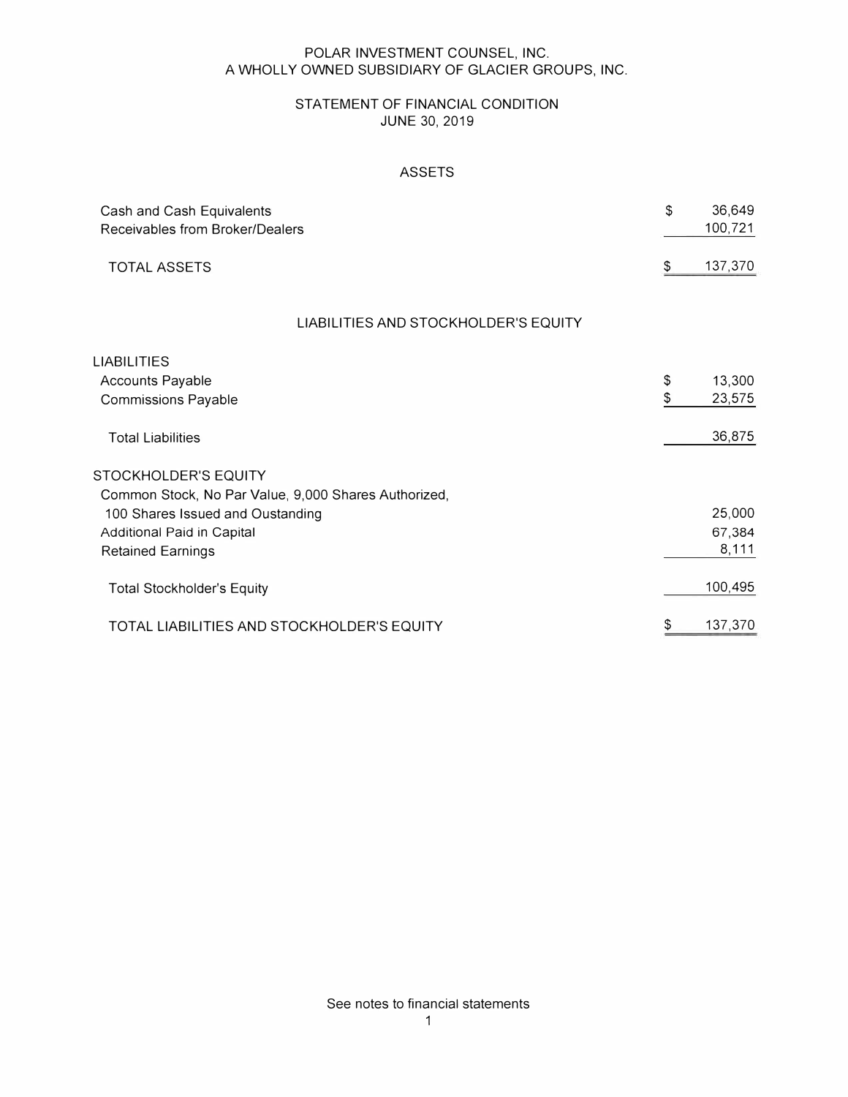#### POLAR INVESTMENT COUNSEL, INC. A WHOLLY OWNED SUBSIDIARY OF GLACIER GROUPS, INC.

## STATEMENT OF FINANCIAL CONDITION JUNE 30, 2019

## ASSETS

| Cash and Cash Equivalents<br>Receivables from Broker/Dealers |    | 36,649<br>100,721 |
|--------------------------------------------------------------|----|-------------------|
| <b>TOTAL ASSETS</b>                                          | \$ | 137,370           |
| LIABILITIES AND STOCKHOLDER'S EQUITY                         |    |                   |
| LIABILITIES                                                  |    |                   |
| <b>Accounts Payable</b>                                      | \$ | 13,300            |
| <b>Commissions Payable</b>                                   | \$ | 23,575            |
| <b>Total Liabilities</b>                                     |    | 36,875            |
| <b>STOCKHOLDER'S EQUITY</b>                                  |    |                   |
| Common Stock, No Par Value, 9,000 Shares Authorized,         |    |                   |
| 100 Shares Issued and Oustanding                             |    | 25,000            |
| Additional Paid in Capital                                   |    | 67,384            |
| <b>Retained Earnings</b>                                     |    | 8,111             |
| <b>Total Stockholder's Equity</b>                            |    | 100,495           |
| TOTAL LIABILITIES AND STOCKHOLDER'S EQUITY                   | \$ | 137,370           |